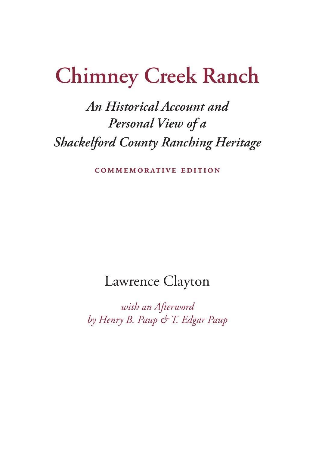# **Chimney Creek Ranch**

# *An Historical Account and Personal View of a Shackelford County Ranching Heritage*

**commemorative edition**

### Lawrence Clayton

*with an Afterword by Henry B. Paup & T. Edgar Paup*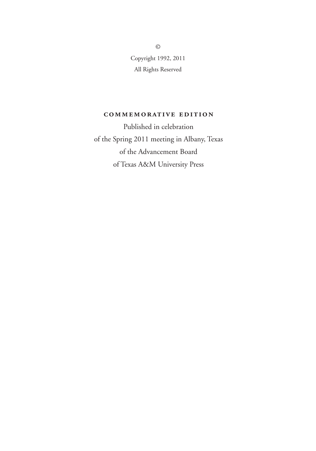Copyright 1992, 2011 All Rights Reserved

#### **commemorative edition**

Published in celebration of the Spring 2011 meeting in Albany, Texas of the Advancement Board of Texas A&M University Press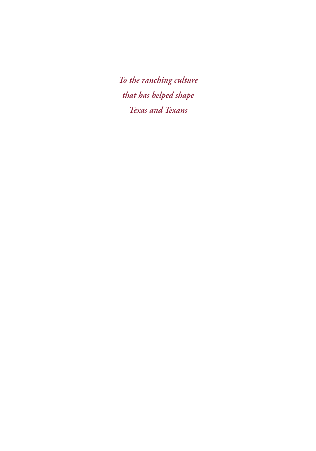*To the ranching culture that has helped shape Texas and Texans*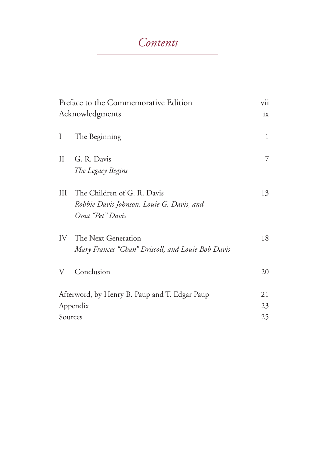### *Contents*

| Preface to the Commemorative Edition<br>Acknowledgments              |                                                                                             | vii<br>ix      |
|----------------------------------------------------------------------|---------------------------------------------------------------------------------------------|----------------|
| I                                                                    | The Beginning                                                                               | $\mathbf{1}$   |
| $\prod$                                                              | G. R. Davis<br>The Legacy Begins                                                            | 7              |
| Ш                                                                    | The Children of G. R. Davis<br>Robbie Davis Johnson, Louie G. Davis, and<br>Oma "Pet" Davis | 13             |
|                                                                      | <b>IV</b> The Next Generation<br>Mary Frances "Chan" Driscoll, and Louie Bob Davis          | 18             |
| V                                                                    | Conclusion                                                                                  | 20             |
| Afterword, by Henry B. Paup and T. Edgar Paup<br>Appendix<br>Sources |                                                                                             | 21<br>23<br>25 |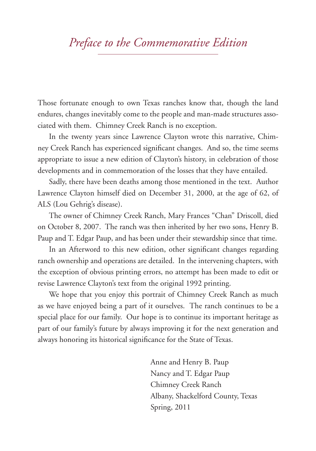### *Preface to the Commemorative Edition*

Those fortunate enough to own Texas ranches know that, though the land endures, changes inevitably come to the people and man-made structures associated with them. Chimney Creek Ranch is no exception.

In the twenty years since Lawrence Clayton wrote this narrative, Chimney Creek Ranch has experienced significant changes. And so, the time seems appropriate to issue a new edition of Clayton's history, in celebration of those developments and in commemoration of the losses that they have entailed.

Sadly, there have been deaths among those mentioned in the text. Author Lawrence Clayton himself died on December 31, 2000, at the age of 62, of ALS (Lou Gehrig's disease).

The owner of Chimney Creek Ranch, Mary Frances "Chan" Driscoll, died on October 8, 2007. The ranch was then inherited by her two sons, Henry B. Paup and T. Edgar Paup, and has been under their stewardship since that time.

In an Afterword to this new edition, other significant changes regarding ranch ownership and operations are detailed. In the intervening chapters, with the exception of obvious printing errors, no attempt has been made to edit or revise Lawrence Clayton's text from the original 1992 printing.

We hope that you enjoy this portrait of Chimney Creek Ranch as much as we have enjoyed being a part of it ourselves. The ranch continues to be a special place for our family. Our hope is to continue its important heritage as part of our family's future by always improving it for the next generation and always honoring its historical significance for the State of Texas.

> Anne and Henry B. Paup Nancy and T. Edgar Paup Chimney Creek Ranch Albany, Shackelford County, Texas Spring, 2011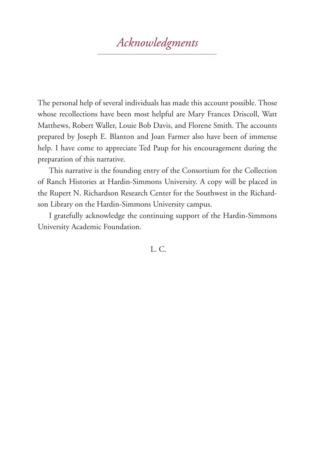## *Acknowledgments*

The personal help of several individuals has made this account possible. Those whose recollections have been most helpful are Mary Frances Driscoll, Watt Matthews, Robert Waller, Louie Bob Davis, and Florene Smith. The accounts prepared by Joseph E. Blanton and Joan Farmer also have been of immense help. I have come to appreciate Ted Paup for his encouragement during the preparation of this narrative.

This narrative is the founding entry of the Consortium for the Collection of Ranch Histories at Hardin-Simmons University. A copy will be placed in the Rupert N. Richardson Research Center for the Southwest in the Richardson Library on the Hardin-Simmons University campus.

I gratefully acknowledge the continuing support of the Hardin-Simmons University Academic Foundation.

L. C.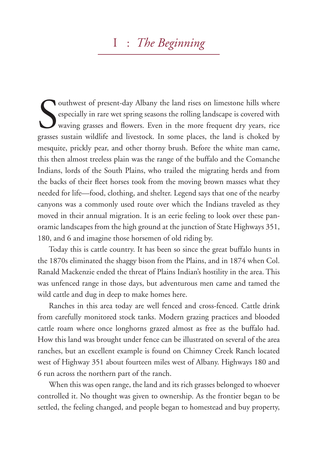### I : *The Beginning*

Southwest of present-day Albany the land rises on limestone hills where<br>especially in rare wet spring seasons the rolling landscape is covered with<br>waving grasses and flowers. Even in the more frequent dry years, rice<br>gras especially in rare wet spring seasons the rolling landscape is covered with waving grasses and flowers. Even in the more frequent dry years, rice grasses sustain wildlife and livestock. In some places, the land is choked by mesquite, prickly pear, and other thorny brush. Before the white man came, this then almost treeless plain was the range of the buffalo and the Comanche Indians, lords of the South Plains, who trailed the migrating herds and from the backs of their fleet horses took from the moving brown masses what they needed for life—food, clothing, and shelter. Legend says that one of the nearby canyons was a commonly used route over which the Indians traveled as they moved in their annual migration. It is an eerie feeling to look over these panoramic landscapes from the high ground at the junction of State Highways 351, 180, and 6 and imagine those horsemen of old riding by.

Today this is cattle country. It has been so since the great buffalo hunts in the 1870s eliminated the shaggy bison from the Plains, and in 1874 when Col. Ranald Mackenzie ended the threat of Plains Indian's hostility in the area. This was unfenced range in those days, but adventurous men came and tamed the wild cattle and dug in deep to make homes here.

Ranches in this area today are well fenced and cross-fenced. Cattle drink from carefully monitored stock tanks. Modern grazing practices and blooded cattle roam where once longhorns grazed almost as free as the buffalo had. How this land was brought under fence can be illustrated on several of the area ranches, but an excellent example is found on Chimney Creek Ranch located west of Highway 351 about fourteen miles west of Albany. Highways 180 and 6 run across the northern part of the ranch.

When this was open range, the land and its rich grasses belonged to whoever controlled it. No thought was given to ownership. As the frontier began to be settled, the feeling changed, and people began to homestead and buy property,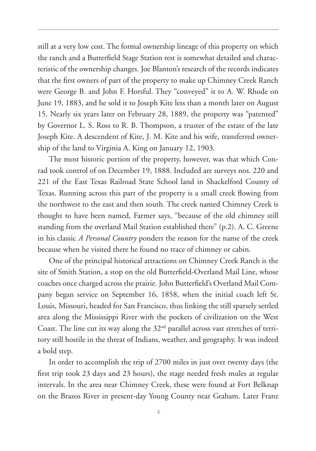still at a very low cost. The formal ownership lineage of this property on which the ranch and a Butterfield Stage Station rest is somewhat detailed and characteristic of the ownership changes. Joe Blanton's research of the records indicates that the first owners of part of the property to make up Chimney Creek Ranch were George B. and John F. Horsful. They "conveyed" it to A. W. Rhode on June 19, 1883, and he sold it to Joseph Kite less than a month later on August 15. Nearly six years later on February 28, 1889, the property was "patented" by Governor L. S. Ross to R. B. Thompson, a trustee of the estate of the late Joseph Kite. A descendent of Kite, J. M. Kite and his wife, transferred ownership of the land to Virginia A. King on January 12, 1903.

The most historic portion of the property, however, was that which Conrad took control of on December 19, 1888. Included are surveys nos. 220 and 221 of the East Texas Railroad State School land in Shackelford County of Texas. Running across this part of the property is a small creek flowing from the northwest to the east and then south. The creek named Chimney Creek is thought to have been named, Farmer says, "because of the old chimney still standing from the overland Mail Station established there" (p.2). A. C. Greene in his classic *A Personal Country* ponders the reason for the name of the creek because when he visited there he found no trace of chimney or cabin.

One of the principal historical attractions on Chimney Creek Ranch is the site of Smith Station, a stop on the old Butterfield-Overland Mail Line, whose coaches once charged across the prairie. John Butterfield's Overland Mail Company began service on September 16, 1858, when the initial coach left St. Louis, Missouri, headed for San Francisco, thus linking the still sparsely settled area along the Mississippi River with the pockets of civilization on the West Coast. The line cut its way along the 32nd parallel across vast stretches of territory still hostile in the threat of Indians, weather, and geography. It was indeed a bold step.

In order to accomplish the trip of 2700 miles in just over twenty days (the first trip took 23 days and 23 hours), the stage needed fresh mules at regular intervals. In the area near Chimney Creek, these were found at Fort Belknap on the Brazos River in present-day Young County near Graham. Later Franz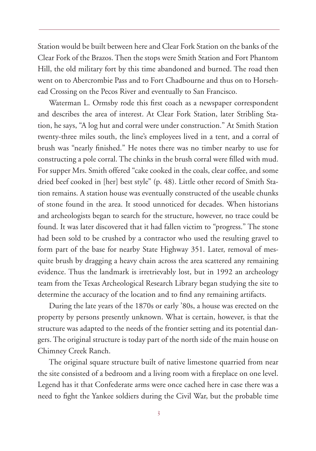Station would be built between here and Clear Fork Station on the banks of the Clear Fork of the Brazos. Then the stops were Smith Station and Fort Phantom Hill, the old military fort by this time abandoned and burned. The road then went on to Abercrombie Pass and to Fort Chadbourne and thus on to Horsehead Crossing on the Pecos River and eventually to San Francisco.

Waterman L. Ormsby rode this first coach as a newspaper correspondent and describes the area of interest. At Clear Fork Station, later Stribling Station, he says, "A log hut and corral were under construction." At Smith Station twenty-three miles south, the line's employees lived in a tent, and a corral of brush was "nearly finished." He notes there was no timber nearby to use for constructing a pole corral. The chinks in the brush corral were filled with mud. For supper Mrs. Smith offered "cake cooked in the coals, clear coffee, and some dried beef cooked in [her] best style" (p. 48). Little other record of Smith Station remains. A station house was eventually constructed of the useable chunks of stone found in the area. It stood unnoticed for decades. When historians and archeologists began to search for the structure, however, no trace could be found. It was later discovered that it had fallen victim to "progress." The stone had been sold to be crushed by a contractor who used the resulting gravel to form part of the base for nearby State Highway 351. Later, removal of mesquite brush by dragging a heavy chain across the area scattered any remaining evidence. Thus the landmark is irretrievably lost, but in 1992 an archeology team from the Texas Archeological Research Library began studying the site to determine the accuracy of the location and to find any remaining artifacts.

During the late years of the 1870s or early '80s, a house was erected on the property by persons presently unknown. What is certain, however, is that the structure was adapted to the needs of the frontier setting and its potential dangers. The original structure is today part of the north side of the main house on Chimney Creek Ranch.

The original square structure built of native limestone quarried from near the site consisted of a bedroom and a living room with a fireplace on one level. Legend has it that Confederate arms were once cached here in case there was a need to fight the Yankee soldiers during the Civil War, but the probable time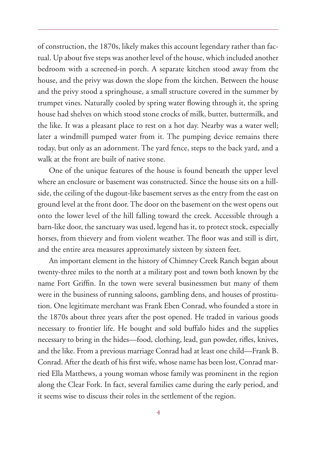of construction, the 1870s, likely makes this account legendary rather than factual. Up about five steps was another level of the house, which included another bedroom with a screened-in porch. A separate kitchen stood away from the house, and the privy was down the slope from the kitchen. Between the house and the privy stood a springhouse, a small structure covered in the summer by trumpet vines. Naturally cooled by spring water flowing through it, the spring house had shelves on which stood stone crocks of milk, butter, buttermilk, and the like. It was a pleasant place to rest on a hot day. Nearby was a water well; later a windmill pumped water from it. The pumping device remains there today, but only as an adornment. The yard fence, steps to the back yard, and a walk at the front are built of native stone.

One of the unique features of the house is found beneath the upper level where an enclosure or basement was constructed. Since the house sits on a hillside, the ceiling of the dugout-like basement serves as the entry from the east on ground level at the front door. The door on the basement on the west opens out onto the lower level of the hill falling toward the creek. Accessible through a barn-like door, the sanctuary was used, legend has it, to protect stock, especially horses, from thievery and from violent weather. The floor was and still is dirt, and the entire area measures approximately sixteen by sixteen feet.

An important element in the history of Chimney Creek Ranch began about twenty-three miles to the north at a military post and town both known by the name Fort Griffin. In the town were several businessmen but many of them were in the business of running saloons, gambling dens, and houses of prostitution. One legitimate merchant was Frank Eben Conrad, who founded a store in the 1870s about three years after the post opened. He traded in various goods necessary to frontier life. He bought and sold buffalo hides and the supplies necessary to bring in the hides—food, clothing, lead, gun powder, rifles, knives, and the like. From a previous marriage Conrad had at least one child—Frank B. Conrad. After the death of his first wife, whose name has been lost, Conrad married Ella Matthews, a young woman whose family was prominent in the region along the Clear Fork. In fact, several families came during the early period, and it seems wise to discuss their roles in the settlement of the region.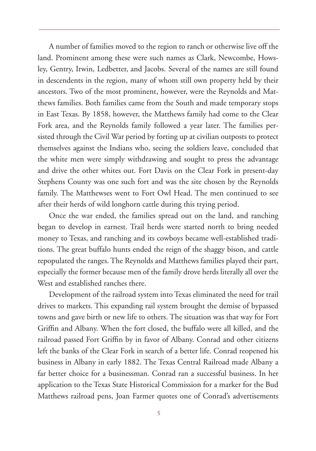A number of families moved to the region to ranch or otherwise live off the land. Prominent among these were such names as Clark, Newcombe, Howsley, Gentry, Irwin, Ledbetter, and Jacobs. Several of the names are still found in descendents in the region, many of whom still own property held by their ancestors. Two of the most prominent, however, were the Reynolds and Matthews families. Both families came from the South and made temporary stops in East Texas. By 1858, however, the Matthews family had come to the Clear Fork area, and the Reynolds family followed a year later. The families persisted through the Civil War period by forting up at civilian outposts to protect themselves against the Indians who, seeing the soldiers leave, concluded that the white men were simply withdrawing and sought to press the advantage and drive the other whites out. Fort Davis on the Clear Fork in present-day Stephens County was one such fort and was the site chosen by the Reynolds family. The Matthewses went to Fort Owl Head. The men continued to see after their herds of wild longhorn cattle during this trying period.

Once the war ended, the families spread out on the land, and ranching began to develop in earnest. Trail herds were started north to bring needed money to Texas, and ranching and its cowboys became well-established traditions. The great buffalo hunts ended the reign of the shaggy bison, and cattle repopulated the ranges. The Reynolds and Matthews families played their part, especially the former because men of the family drove herds literally all over the West and established ranches there.

Development of the railroad system into Texas eliminated the need for trail drives to markets. This expanding rail system brought the demise of bypassed towns and gave birth or new life to others. The situation was that way for Fort Griffin and Albany. When the fort closed, the buffalo were all killed, and the railroad passed Fort Griffin by in favor of Albany. Conrad and other citizens left the banks of the Clear Fork in search of a better life. Conrad reopened his business in Albany in early 1882. The Texas Central Railroad made Albany a far better choice for a businessman. Conrad ran a successful business. In her application to the Texas State Historical Commission for a marker for the Bud Matthews railroad pens, Joan Farmer quotes one of Conrad's advertisements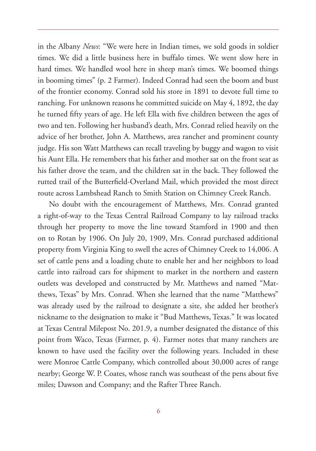in the Albany *News*: "We were here in Indian times, we sold goods in soldier times. We did a little business here in buffalo times. We went slow here in hard times. We handled wool here in sheep man's times. We boomed things in booming times" (p. 2 Farmer). Indeed Conrad had seen the boom and bust of the frontier economy. Conrad sold his store in 1891 to devote full time to ranching. For unknown reasons he committed suicide on May 4, 1892, the day he turned fifty years of age. He left Ella with five children between the ages of two and ten. Following her husband's death, Mrs. Conrad relied heavily on the advice of her brother, John A. Matthews, area rancher and prominent county judge. His son Watt Matthews can recall traveling by buggy and wagon to visit his Aunt Ella. He remembers that his father and mother sat on the front seat as his father drove the team, and the children sat in the back. They followed the rutted trail of the Butterfield-Overland Mail, which provided the most direct route across Lambshead Ranch to Smith Station on Chimney Creek Ranch.

No doubt with the encouragement of Matthews, Mrs. Conrad granted a right-of-way to the Texas Central Railroad Company to lay railroad tracks through her property to move the line toward Stamford in 1900 and then on to Rotan by 1906. On July 20, 1909, Mrs. Conrad purchased additional property from Virginia King to swell the acres of Chimney Creek to 14,006. A set of cattle pens and a loading chute to enable her and her neighbors to load cattle into railroad cars for shipment to market in the northern and eastern outlets was developed and constructed by Mr. Matthews and named "Matthews, Texas" by Mrs. Conrad. When she learned that the name "Matthews" was already used by the railroad to designate a site, she added her brother's nickname to the designation to make it "Bud Matthews, Texas." It was located at Texas Central Milepost No. 201.9, a number designated the distance of this point from Waco, Texas (Farmer, p. 4). Farmer notes that many ranchers are known to have used the facility over the following years. Included in these were Monroe Cattle Company, which controlled about 30,000 acres of range nearby; George W. P. Coates, whose ranch was southeast of the pens about five miles; Dawson and Company; and the Rafter Three Ranch.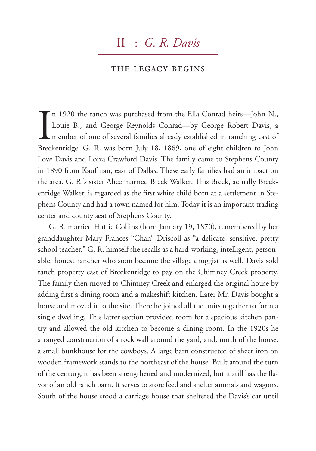### II : *G. R. Davis*

#### the legacy begins

In 1920 the ranch was purchased from the Ella Conrad heirs—John N., Louie B., and George Reynolds Conrad—by George Robert Davis, a member of one of several families already established in ranching east of Breckenridge. G. n 1920 the ranch was purchased from the Ella Conrad heirs—John N., Louie B., and George Reynolds Conrad—by George Robert Davis, a member of one of several families already established in ranching east of Love Davis and Loiza Crawford Davis. The family came to Stephens County in 1890 from Kaufman, east of Dallas. These early families had an impact on the area. G. R.'s sister Alice married Breck Walker. This Breck, actually Breckenridge Walker, is regarded as the first white child born at a settlement in Stephens County and had a town named for him. Today it is an important trading center and county seat of Stephens County.

G. R. married Hattie Collins (born January 19, 1870), remembered by her granddaughter Mary Frances "Chan" Driscoll as "a delicate, sensitive, pretty school teacher." G. R. himself she recalls as a hard-working, intelligent, personable, honest rancher who soon became the village druggist as well. Davis sold ranch property east of Breckenridge to pay on the Chimney Creek property. The family then moved to Chimney Creek and enlarged the original house by adding first a dining room and a makeshift kitchen. Later Mr. Davis bought a house and moved it to the site. There he joined all the units together to form a single dwelling. This latter section provided room for a spacious kitchen pantry and allowed the old kitchen to become a dining room. In the 1920s he arranged construction of a rock wall around the yard, and, north of the house, a small bunkhouse for the cowboys. A large barn constructed of sheet iron on wooden framework stands to the northeast of the house. Built around the turn of the century, it has been strengthened and modernized, but it still has the flavor of an old ranch barn. It serves to store feed and shelter animals and wagons. South of the house stood a carriage house that sheltered the Davis's car until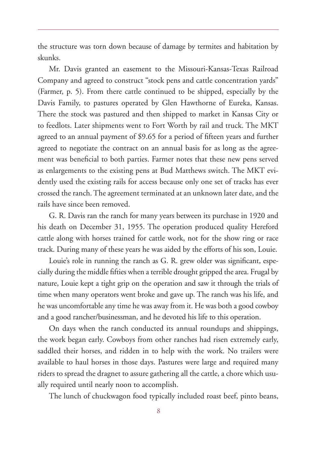the structure was torn down because of damage by termites and habitation by skunks.

Mr. Davis granted an easement to the Missouri-Kansas-Texas Railroad Company and agreed to construct "stock pens and cattle concentration yards" (Farmer, p. 5). From there cattle continued to be shipped, especially by the Davis Family, to pastures operated by Glen Hawthorne of Eureka, Kansas. There the stock was pastured and then shipped to market in Kansas City or to feedlots. Later shipments went to Fort Worth by rail and truck. The MKT agreed to an annual payment of \$9.65 for a period of fifteen years and further agreed to negotiate the contract on an annual basis for as long as the agreement was beneficial to both parties. Farmer notes that these new pens served as enlargements to the existing pens at Bud Matthews switch. The MKT evidently used the existing rails for access because only one set of tracks has ever crossed the ranch. The agreement terminated at an unknown later date, and the rails have since been removed.

G. R. Davis ran the ranch for many years between its purchase in 1920 and his death on December 31, 1955. The operation produced quality Hereford cattle along with horses trained for cattle work, not for the show ring or race track. During many of these years he was aided by the efforts of his son, Louie.

Louie's role in running the ranch as G. R. grew older was significant, especially during the middle fifties when a terrible drought gripped the area. Frugal by nature, Louie kept a tight grip on the operation and saw it through the trials of time when many operators went broke and gave up. The ranch was his life, and he was uncomfortable any time he was away from it. He was both a good cowboy and a good rancher/businessman, and he devoted his life to this operation.

On days when the ranch conducted its annual roundups and shippings, the work began early. Cowboys from other ranches had risen extremely early, saddled their horses, and ridden in to help with the work. No trailers were available to haul horses in those days. Pastures were large and required many riders to spread the dragnet to assure gathering all the cattle, a chore which usually required until nearly noon to accomplish.

The lunch of chuckwagon food typically included roast beef, pinto beans,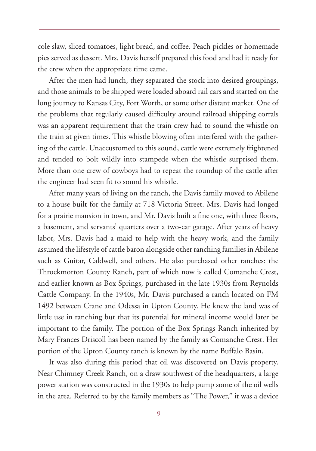cole slaw, sliced tomatoes, light bread, and coffee. Peach pickles or homemade pies served as dessert. Mrs. Davis herself prepared this food and had it ready for the crew when the appropriate time came.

After the men had lunch, they separated the stock into desired groupings, and those animals to be shipped were loaded aboard rail cars and started on the long journey to Kansas City, Fort Worth, or some other distant market. One of the problems that regularly caused difficulty around railroad shipping corrals was an apparent requirement that the train crew had to sound the whistle on the train at given times. This whistle blowing often interfered with the gathering of the cattle. Unaccustomed to this sound, cattle were extremely frightened and tended to bolt wildly into stampede when the whistle surprised them. More than one crew of cowboys had to repeat the roundup of the cattle after the engineer had seen fit to sound his whistle.

After many years of living on the ranch, the Davis family moved to Abilene to a house built for the family at 718 Victoria Street. Mrs. Davis had longed for a prairie mansion in town, and Mr. Davis built a fine one, with three floors, a basement, and servants' quarters over a two-car garage. After years of heavy labor, Mrs. Davis had a maid to help with the heavy work, and the family assumed the lifestyle of cattle baron alongside other ranching families in Abilene such as Guitar, Caldwell, and others. He also purchased other ranches: the Throckmorton County Ranch, part of which now is called Comanche Crest, and earlier known as Box Springs, purchased in the late 1930s from Reynolds Cattle Company. In the 1940s, Mr. Davis purchased a ranch located on FM 1492 between Crane and Odessa in Upton County. He knew the land was of little use in ranching but that its potential for mineral income would later be important to the family. The portion of the Box Springs Ranch inherited by Mary Frances Driscoll has been named by the family as Comanche Crest. Her portion of the Upton County ranch is known by the name Buffalo Basin.

It was also during this period that oil was discovered on Davis property. Near Chimney Creek Ranch, on a draw southwest of the headquarters, a large power station was constructed in the 1930s to help pump some of the oil wells in the area. Referred to by the family members as "The Power," it was a device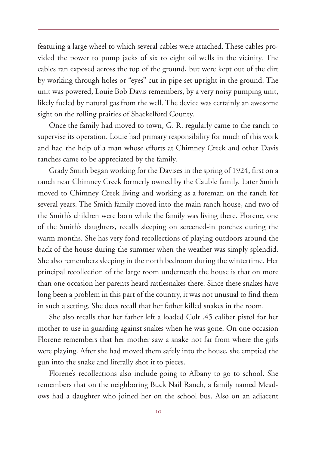featuring a large wheel to which several cables were attached. These cables provided the power to pump jacks of six to eight oil wells in the vicinity. The cables ran exposed across the top of the ground, but were kept out of the dirt by working through holes or "eyes" cut in pipe set upright in the ground. The unit was powered, Louie Bob Davis remembers, by a very noisy pumping unit, likely fueled by natural gas from the well. The device was certainly an awesome sight on the rolling prairies of Shackelford County.

Once the family had moved to town, G. R. regularly came to the ranch to supervise its operation. Louie had primary responsibility for much of this work and had the help of a man whose efforts at Chimney Creek and other Davis ranches came to be appreciated by the family.

Grady Smith began working for the Davises in the spring of 1924, first on a ranch near Chimney Creek formerly owned by the Cauble family. Later Smith moved to Chimney Creek living and working as a foreman on the ranch for several years. The Smith family moved into the main ranch house, and two of the Smith's children were born while the family was living there. Florene, one of the Smith's daughters, recalls sleeping on screened-in porches during the warm months. She has very fond recollections of playing outdoors around the back of the house during the summer when the weather was simply splendid. She also remembers sleeping in the north bedroom during the wintertime. Her principal recollection of the large room underneath the house is that on more than one occasion her parents heard rattlesnakes there. Since these snakes have long been a problem in this part of the country, it was not unusual to find them in such a setting. She does recall that her father killed snakes in the room.

She also recalls that her father left a loaded Colt .45 caliber pistol for her mother to use in guarding against snakes when he was gone. On one occasion Florene remembers that her mother saw a snake not far from where the girls were playing. After she had moved them safely into the house, she emptied the gun into the snake and literally shot it to pieces.

Florene's recollections also include going to Albany to go to school. She remembers that on the neighboring Buck Nail Ranch, a family named Meadows had a daughter who joined her on the school bus. Also on an adjacent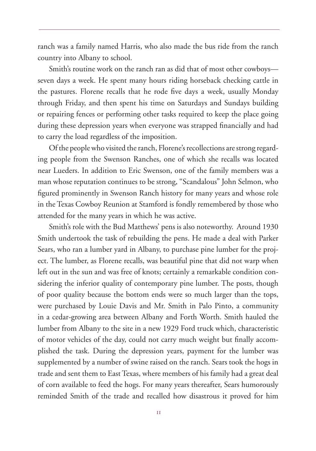ranch was a family named Harris, who also made the bus ride from the ranch country into Albany to school.

Smith's routine work on the ranch ran as did that of most other cowboys seven days a week. He spent many hours riding horseback checking cattle in the pastures. Florene recalls that he rode five days a week, usually Monday through Friday, and then spent his time on Saturdays and Sundays building or repairing fences or performing other tasks required to keep the place going during these depression years when everyone was strapped financially and had to carry the load regardless of the imposition.

Of the people who visited the ranch, Florene's recollections are strong regarding people from the Swenson Ranches, one of which she recalls was located near Lueders. In addition to Eric Swenson, one of the family members was a man whose reputation continues to be strong, "Scandalous" John Selmon, who figured prominently in Swenson Ranch history for many years and whose role in the Texas Cowboy Reunion at Stamford is fondly remembered by those who attended for the many years in which he was active.

Smith's role with the Bud Matthews' pens is also noteworthy. Around 1930 Smith undertook the task of rebuilding the pens. He made a deal with Parker Sears, who ran a lumber yard in Albany, to purchase pine lumber for the project. The lumber, as Florene recalls, was beautiful pine that did not warp when left out in the sun and was free of knots; certainly a remarkable condition considering the inferior quality of contemporary pine lumber. The posts, though of poor quality because the bottom ends were so much larger than the tops, were purchased by Louie Davis and Mr. Smith in Palo Pinto, a community in a cedar-growing area between Albany and Forth Worth. Smith hauled the lumber from Albany to the site in a new 1929 Ford truck which, characteristic of motor vehicles of the day, could not carry much weight but finally accomplished the task. During the depression years, payment for the lumber was supplemented by a number of swine raised on the ranch. Sears took the hogs in trade and sent them to East Texas, where members of his family had a great deal of corn available to feed the hogs. For many years thereafter, Sears humorously reminded Smith of the trade and recalled how disastrous it proved for him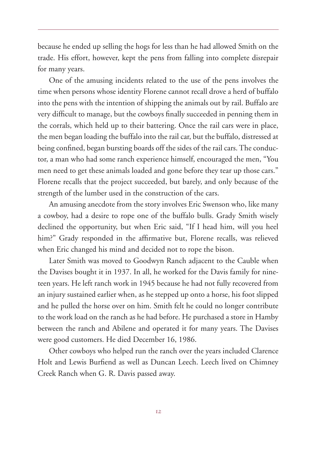because he ended up selling the hogs for less than he had allowed Smith on the trade. His effort, however, kept the pens from falling into complete disrepair for many years.

One of the amusing incidents related to the use of the pens involves the time when persons whose identity Florene cannot recall drove a herd of buffalo into the pens with the intention of shipping the animals out by rail. Buffalo are very difficult to manage, but the cowboys finally succeeded in penning them in the corrals, which held up to their battering. Once the rail cars were in place, the men began loading the buffalo into the rail car, but the buffalo, distressed at being confined, began bursting boards off the sides of the rail cars. The conductor, a man who had some ranch experience himself, encouraged the men, "You men need to get these animals loaded and gone before they tear up those cars." Florene recalls that the project succeeded, but barely, and only because of the strength of the lumber used in the construction of the cars.

An amusing anecdote from the story involves Eric Swenson who, like many a cowboy, had a desire to rope one of the buffalo bulls. Grady Smith wisely declined the opportunity, but when Eric said, "If I head him, will you heel him?" Grady responded in the affirmative but, Florene recalls, was relieved when Eric changed his mind and decided not to rope the bison.

Later Smith was moved to Goodwyn Ranch adjacent to the Cauble when the Davises bought it in 1937. In all, he worked for the Davis family for nineteen years. He left ranch work in 1945 because he had not fully recovered from an injury sustained earlier when, as he stepped up onto a horse, his foot slipped and he pulled the horse over on him. Smith felt he could no longer contribute to the work load on the ranch as he had before. He purchased a store in Hamby between the ranch and Abilene and operated it for many years. The Davises were good customers. He died December 16, 1986.

Other cowboys who helped run the ranch over the years included Clarence Holt and Lewis Burfiend as well as Duncan Leech. Leech lived on Chimney Creek Ranch when G. R. Davis passed away.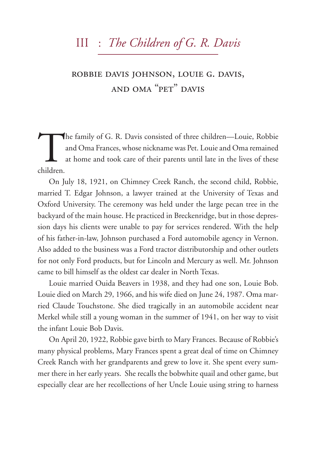### III : *The Children of G. R. Davis*

### robbie davis johnson, louie g. davis, and oma "pet" davis

The family of G. R. Davis consisted of three children—Louie, Robbie<br>and Oma Frances, whose nickname was Pet. Louie and Oma remained<br>at home and took care of their parents until late in the lives of these<br>children and Oma Frances, whose nickname was Pet. Louie and Oma remained at home and took care of their parents until late in the lives of these children.

On July 18, 1921, on Chimney Creek Ranch, the second child, Robbie, married T. Edgar Johnson, a lawyer trained at the University of Texas and Oxford University. The ceremony was held under the large pecan tree in the backyard of the main house. He practiced in Breckenridge, but in those depression days his clients were unable to pay for services rendered. With the help of his father-in-law, Johnson purchased a Ford automobile agency in Vernon. Also added to the business was a Ford tractor distributorship and other outlets for not only Ford products, but for Lincoln and Mercury as well. Mr. Johnson came to bill himself as the oldest car dealer in North Texas.

Louie married Ouida Beavers in 1938, and they had one son, Louie Bob. Louie died on March 29, 1966, and his wife died on June 24, 1987. Oma married Claude Touchstone. She died tragically in an automobile accident near Merkel while still a young woman in the summer of 1941, on her way to visit the infant Louie Bob Davis.

On April 20, 1922, Robbie gave birth to Mary Frances. Because of Robbie's many physical problems, Mary Frances spent a great deal of time on Chimney Creek Ranch with her grandparents and grew to love it. She spent every summer there in her early years. She recalls the bobwhite quail and other game, but especially clear are her recollections of her Uncle Louie using string to harness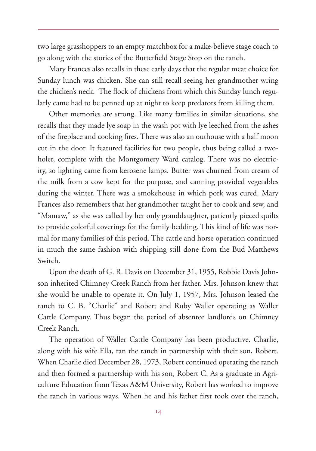two large grasshoppers to an empty matchbox for a make-believe stage coach to go along with the stories of the Butterfield Stage Stop on the ranch.

Mary Frances also recalls in these early days that the regular meat choice for Sunday lunch was chicken. She can still recall seeing her grandmother wring the chicken's neck. The flock of chickens from which this Sunday lunch regularly came had to be penned up at night to keep predators from killing them.

Other memories are strong. Like many families in similar situations, she recalls that they made lye soap in the wash pot with lye leeched from the ashes of the fireplace and cooking fires. There was also an outhouse with a half moon cut in the door. It featured facilities for two people, thus being called a twoholer, complete with the Montgomery Ward catalog. There was no electricity, so lighting came from kerosene lamps. Butter was churned from cream of the milk from a cow kept for the purpose, and canning provided vegetables during the winter. There was a smokehouse in which pork was cured. Mary Frances also remembers that her grandmother taught her to cook and sew, and "Mamaw," as she was called by her only granddaughter, patiently pieced quilts to provide colorful coverings for the family bedding. This kind of life was normal for many families of this period. The cattle and horse operation continued in much the same fashion with shipping still done from the Bud Matthews Switch.

Upon the death of G. R. Davis on December 31, 1955, Robbie Davis Johnson inherited Chimney Creek Ranch from her father. Mrs. Johnson knew that she would be unable to operate it. On July 1, 1957, Mrs. Johnson leased the ranch to C. B. "Charlie" and Robert and Ruby Waller operating as Waller Cattle Company. Thus began the period of absentee landlords on Chimney Creek Ranch.

The operation of Waller Cattle Company has been productive. Charlie, along with his wife Ella, ran the ranch in partnership with their son, Robert. When Charlie died December 28, 1973, Robert continued operating the ranch and then formed a partnership with his son, Robert C. As a graduate in Agriculture Education from Texas A&M University, Robert has worked to improve the ranch in various ways. When he and his father first took over the ranch,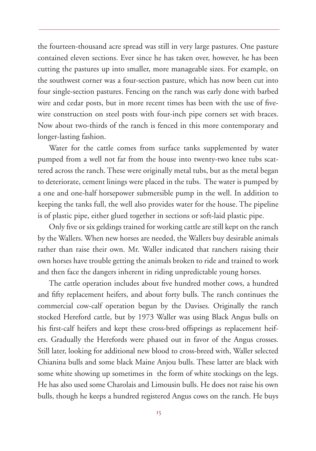the fourteen-thousand acre spread was still in very large pastures. One pasture contained eleven sections. Ever since he has taken over, however, he has been cutting the pastures up into smaller, more manageable sizes. For example, on the southwest corner was a four-section pasture, which has now been cut into four single-section pastures. Fencing on the ranch was early done with barbed wire and cedar posts, but in more recent times has been with the use of fivewire construction on steel posts with four-inch pipe corners set with braces. Now about two-thirds of the ranch is fenced in this more contemporary and longer-lasting fashion.

Water for the cattle comes from surface tanks supplemented by water pumped from a well not far from the house into twenty-two knee tubs scattered across the ranch. These were originally metal tubs, but as the metal began to deteriorate, cement linings were placed in the tubs. The water is pumped by a one and one-half horsepower submersible pump in the well. In addition to keeping the tanks full, the well also provides water for the house. The pipeline is of plastic pipe, either glued together in sections or soft-laid plastic pipe.

Only five or six geldings trained for working cattle are still kept on the ranch by the Wallers. When new horses are needed, the Wallers buy desirable animals rather than raise their own. Mr. Waller indicated that ranchers raising their own horses have trouble getting the animals broken to ride and trained to work and then face the dangers inherent in riding unpredictable young horses.

The cattle operation includes about five hundred mother cows, a hundred and fifty replacement heifers, and about forty bulls. The ranch continues the commercial cow-calf operation begun by the Davises. Originally the ranch stocked Hereford cattle, but by 1973 Waller was using Black Angus bulls on his first-calf heifers and kept these cross-bred offsprings as replacement heifers. Gradually the Herefords were phased out in favor of the Angus crosses. Still later, looking for additional new blood to cross-breed with, Waller selected Chianina bulls and some black Maine Anjou bulls. These latter are black with some white showing up sometimes in the form of white stockings on the legs. He has also used some Charolais and Limousin bulls. He does not raise his own bulls, though he keeps a hundred registered Angus cows on the ranch. He buys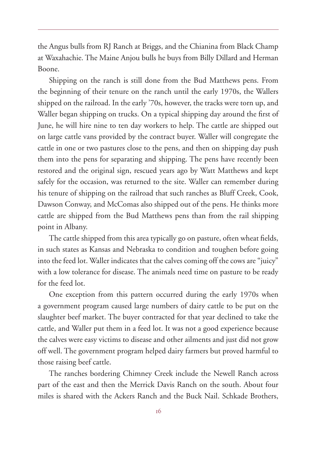the Angus bulls from RJ Ranch at Briggs, and the Chianina from Black Champ at Waxahachie. The Maine Anjou bulls he buys from Billy Dillard and Herman Boone.

Shipping on the ranch is still done from the Bud Matthews pens. From the beginning of their tenure on the ranch until the early 1970s, the Wallers shipped on the railroad. In the early '70s, however, the tracks were torn up, and Waller began shipping on trucks. On a typical shipping day around the first of June, he will hire nine to ten day workers to help. The cattle are shipped out on large cattle vans provided by the contract buyer. Waller will congregate the cattle in one or two pastures close to the pens, and then on shipping day push them into the pens for separating and shipping. The pens have recently been restored and the original sign, rescued years ago by Watt Matthews and kept safely for the occasion, was returned to the site. Waller can remember during his tenure of shipping on the railroad that such ranches as Bluff Creek, Cook, Dawson Conway, and McComas also shipped out of the pens. He thinks more cattle are shipped from the Bud Matthews pens than from the rail shipping point in Albany.

The cattle shipped from this area typically go on pasture, often wheat fields, in such states as Kansas and Nebraska to condition and toughen before going into the feed lot. Waller indicates that the calves coming off the cows are "juicy" with a low tolerance for disease. The animals need time on pasture to be ready for the feed lot.

One exception from this pattern occurred during the early 1970s when a government program caused large numbers of dairy cattle to be put on the slaughter beef market. The buyer contracted for that year declined to take the cattle, and Waller put them in a feed lot. It was not a good experience because the calves were easy victims to disease and other ailments and just did not grow off well. The government program helped dairy farmers but proved harmful to those raising beef cattle.

The ranches bordering Chimney Creek include the Newell Ranch across part of the east and then the Merrick Davis Ranch on the south. About four miles is shared with the Ackers Ranch and the Buck Nail. Schkade Brothers,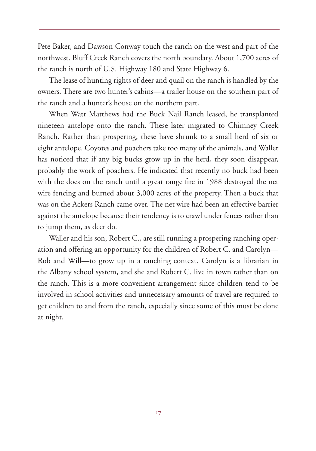Pete Baker, and Dawson Conway touch the ranch on the west and part of the northwest. Bluff Creek Ranch covers the north boundary. About 1,700 acres of the ranch is north of U.S. Highway 180 and State Highway 6.

The lease of hunting rights of deer and quail on the ranch is handled by the owners. There are two hunter's cabins—a trailer house on the southern part of the ranch and a hunter's house on the northern part.

When Watt Matthews had the Buck Nail Ranch leased, he transplanted nineteen antelope onto the ranch. These later migrated to Chimney Creek Ranch. Rather than prospering, these have shrunk to a small herd of six or eight antelope. Coyotes and poachers take too many of the animals, and Waller has noticed that if any big bucks grow up in the herd, they soon disappear, probably the work of poachers. He indicated that recently no buck had been with the does on the ranch until a great range fire in 1988 destroyed the net wire fencing and burned about 3,000 acres of the property. Then a buck that was on the Ackers Ranch came over. The net wire had been an effective barrier against the antelope because their tendency is to crawl under fences rather than to jump them, as deer do.

Waller and his son, Robert C., are still running a prospering ranching operation and offering an opportunity for the children of Robert C. and Carolyn— Rob and Will—to grow up in a ranching context. Carolyn is a librarian in the Albany school system, and she and Robert C. live in town rather than on the ranch. This is a more convenient arrangement since children tend to be involved in school activities and unnecessary amounts of travel are required to get children to and from the ranch, especially since some of this must be done at night.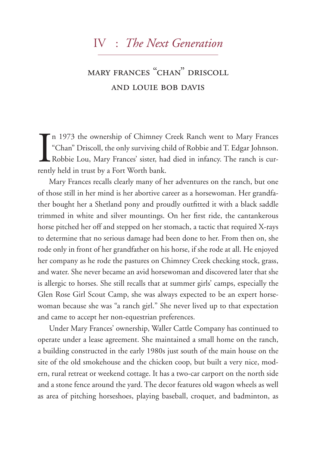### iv : *The Next Generation*

### mary frances "chan" driscoll and louie bob davis

I<br>Tentl n 1973 the ownership of Chimney Creek Ranch went to Mary Frances "Chan" Driscoll, the only surviving child of Robbie and T. Edgar Johnson. Robbie Lou, Mary Frances' sister, had died in infancy. The ranch is currently held in trust by a Fort Worth bank.

Mary Frances recalls clearly many of her adventures on the ranch, but one of those still in her mind is her abortive career as a horsewoman. Her grandfather bought her a Shetland pony and proudly outfitted it with a black saddle trimmed in white and silver mountings. On her first ride, the cantankerous horse pitched her off and stepped on her stomach, a tactic that required X-rays to determine that no serious damage had been done to her. From then on, she rode only in front of her grandfather on his horse, if she rode at all. He enjoyed her company as he rode the pastures on Chimney Creek checking stock, grass, and water. She never became an avid horsewoman and discovered later that she is allergic to horses. She still recalls that at summer girls' camps, especially the Glen Rose Girl Scout Camp, she was always expected to be an expert horsewoman because she was "a ranch girl." She never lived up to that expectation and came to accept her non-equestrian preferences.

Under Mary Frances' ownership, Waller Cattle Company has continued to operate under a lease agreement. She maintained a small home on the ranch, a building constructed in the early 1980s just south of the main house on the site of the old smokehouse and the chicken coop, but built a very nice, modern, rural retreat or weekend cottage. It has a two-car carport on the north side and a stone fence around the yard. The decor features old wagon wheels as well as area of pitching horseshoes, playing baseball, croquet, and badminton, as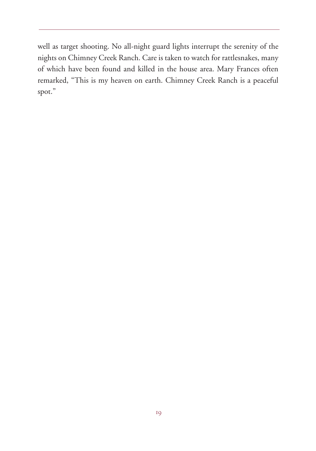well as target shooting. No all-night guard lights interrupt the serenity of the nights on Chimney Creek Ranch. Care is taken to watch for rattlesnakes, many of which have been found and killed in the house area. Mary Frances often remarked, "This is my heaven on earth. Chimney Creek Ranch is a peaceful spot."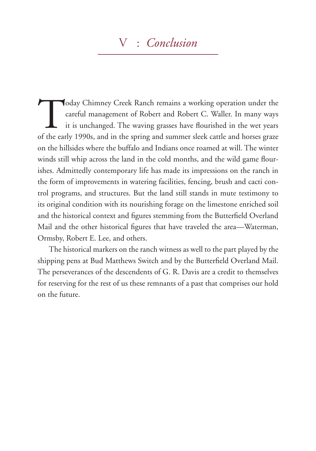### v : *Conclusion*

Today Chimney Creek Ranch remains a working operation under the careful management of Robert and Robert C. Waller. In many ways it is unchanged. The waving grasses have flourished in the wet years of the early 1990s, and i careful management of Robert and Robert C. Waller. In many ways it is unchanged. The waving grasses have flourished in the wet years of the early 1990s, and in the spring and summer sleek cattle and horses graze on the hillsides where the buffalo and Indians once roamed at will. The winter winds still whip across the land in the cold months, and the wild game flourishes. Admittedly contemporary life has made its impressions on the ranch in the form of improvements in watering facilities, fencing, brush and cacti control programs, and structures. But the land still stands in mute testimony to its original condition with its nourishing forage on the limestone enriched soil and the historical context and figures stemming from the Butterfield Overland Mail and the other historical figures that have traveled the area—Waterman, Ormsby, Robert E. Lee, and others.

The historical markers on the ranch witness as well to the part played by the shipping pens at Bud Matthews Switch and by the Butterfield Overland Mail. The perseverances of the descendents of G. R. Davis are a credit to themselves for reserving for the rest of us these remnants of a past that comprises our hold on the future.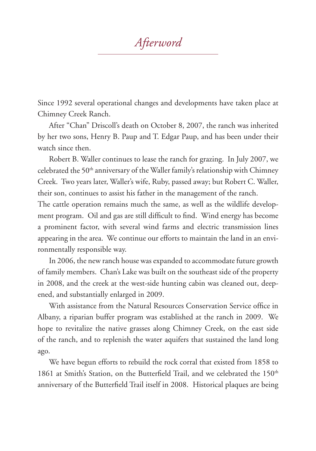*Afterword*

Since 1992 several operational changes and developments have taken place at Chimney Creek Ranch.

After "Chan" Driscoll's death on October 8, 2007, the ranch was inherited by her two sons, Henry B. Paup and T. Edgar Paup, and has been under their watch since then.

Robert B. Waller continues to lease the ranch for grazing. In July 2007, we celebrated the 50<sup>th</sup> anniversary of the Waller family's relationship with Chimney Creek. Two years later, Waller's wife, Ruby, passed away; but Robert C. Waller, their son, continues to assist his father in the management of the ranch.

The cattle operation remains much the same, as well as the wildlife development program. Oil and gas are still difficult to find. Wind energy has become a prominent factor, with several wind farms and electric transmission lines appearing in the area. We continue our efforts to maintain the land in an environmentally responsible way.

In 2006, the new ranch house was expanded to accommodate future growth of family members. Chan's Lake was built on the southeast side of the property in 2008, and the creek at the west-side hunting cabin was cleaned out, deepened, and substantially enlarged in 2009.

With assistance from the Natural Resources Conservation Service office in Albany, a riparian buffer program was established at the ranch in 2009. We hope to revitalize the native grasses along Chimney Creek, on the east side of the ranch, and to replenish the water aquifers that sustained the land long ago.

We have begun efforts to rebuild the rock corral that existed from 1858 to 1861 at Smith's Station, on the Butterfield Trail, and we celebrated the  $150<sup>th</sup>$ anniversary of the Butterfield Trail itself in 2008. Historical plaques are being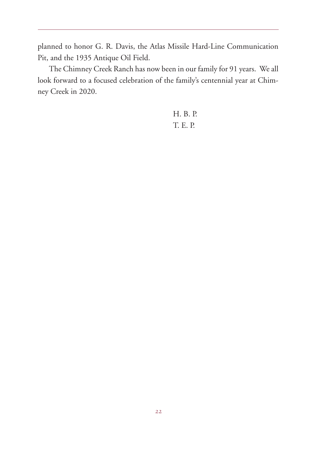planned to honor G. R. Davis, the Atlas Missile Hard-Line Communication Pit, and the 1935 Antique Oil Field.

The Chimney Creek Ranch has now been in our family for 91 years. We all look forward to a focused celebration of the family's centennial year at Chimney Creek in 2020.

> H. B. P. T. E. P.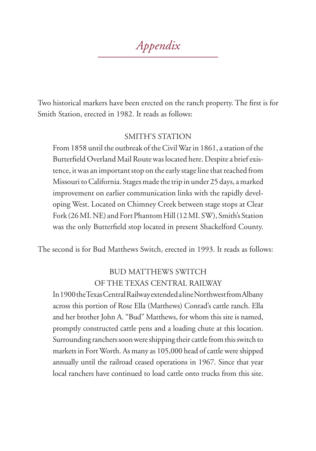*Appendix*

Two historical markers have been erected on the ranch property. The first is for Smith Station, erected in 1982. It reads as follows:

#### SMITH'S STATION

From 1858 until the outbreak of the Civil War in 1861, a station of the Butterfield Overland Mail Route was located here. Despite a brief existence, it was an important stop on the early stage line that reached from Missouri to California. Stages made the trip in under 25 days, a marked improvement on earlier communication links with the rapidly developing West. Located on Chimney Creek between stage stops at Clear Fork (26 MI. NE) and Fort Phantom Hill (12 MI. SW), Smith's Station was the only Butterfield stop located in present Shackelford County.

The second is for Bud Matthews Switch, erected in 1993. It reads as follows:

#### BUD MATTHEWS SWITCH OF THE TEXAS CENTRAL RAILWAY

In 1900 the Texas Central Railway extended a line Northwest from Albany across this portion of Rose Ella (Matthews) Conrad's cattle ranch. Ella and her brother John A. "Bud" Matthews, for whom this site is named, promptly constructed cattle pens and a loading chute at this location. Surrounding ranchers soon were shipping their cattle from this switch to markets in Fort Worth. As many as 105,000 head of cattle were shipped annually until the railroad ceased operations in 1967. Since that year local ranchers have continued to load cattle onto trucks from this site.